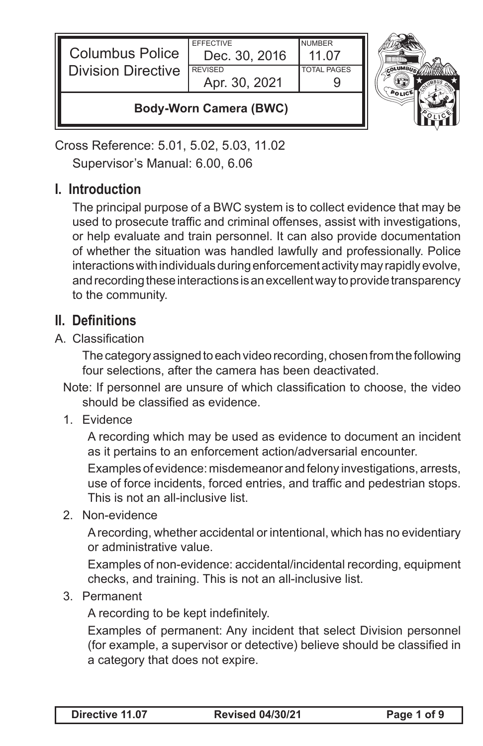| <b>Columbus Police</b><br><b>Division Directive</b> | <b>EFFECTIVE</b><br>Dec. 30, 2016<br><b>REVISED</b><br>Apr. 30, 2021 | <b>NUMBER</b><br>11 07<br><b>TOTAL PAGES</b> |  |
|-----------------------------------------------------|----------------------------------------------------------------------|----------------------------------------------|--|
| <b>Body-Worn Camera (BWC)</b>                       |                                                                      |                                              |  |

Cross Reference: 5.01, 5.02, 5.03, 11.02 Supervisor's Manual: 6.00, 6.06

## **I. Introduction**

The principal purpose of a BWC system is to collect evidence that may be used to prosecute traffic and criminal offenses, assist with investigations, or help evaluate and train personnel. It can also provide documentation of whether the situation was handled lawfully and professionally. Police interactions with individuals during enforcement activity may rapidly evolve, and recording these interactions is an excellent way to provide transparency to the community.

## **II. Definitions**

A. Classification

The category assigned to each video recording, chosen from the following four selections, after the camera has been deactivated.

- Note: If personnel are unsure of which classification to choose, the video should be classified as evidence.
- 1. Evidence

A recording which may be used as evidence to document an incident as it pertains to an enforcement action/adversarial encounter.

Examples of evidence: misdemeanor and felony investigations, arrests, use of force incidents, forced entries, and traffic and pedestrian stops. This is not an all-inclusive list.

2. Non-evidence

A recording, whether accidental or intentional, which has no evidentiary or administrative value.

Examples of non-evidence: accidental/incidental recording, equipment checks, and training. This is not an all-inclusive list.

3. Permanent

A recording to be kept indefinitely.

Examples of permanent: Any incident that select Division personnel (for example, a supervisor or detective) believe should be classified in a category that does not expire.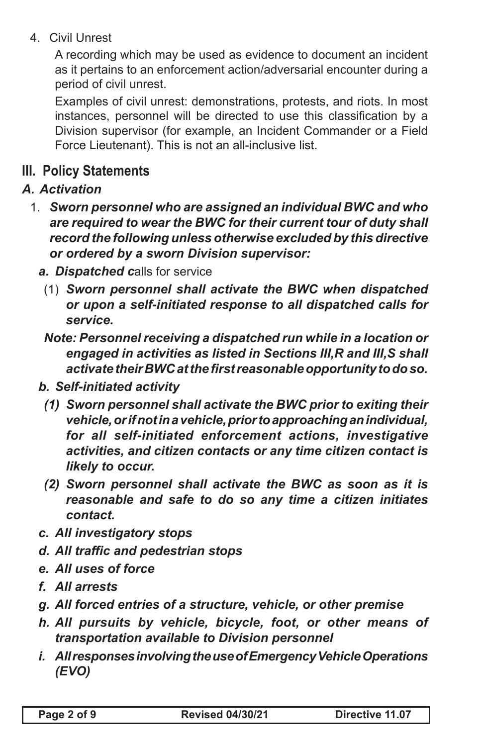4. Civil Unrest

A recording which may be used as evidence to document an incident as it pertains to an enforcement action/adversarial encounter during a period of civil unrest.

Examples of civil unrest: demonstrations, protests, and riots. In most instances, personnel will be directed to use this classification by a Division supervisor (for example, an Incident Commander or a Field Force Lieutenant). This is not an all-inclusive list.

## **III. Policy Statements**

- *A. Activation*
	- 1. *Sworn personnel who are assigned an individual BWC and who are required to wear the BWC for their current tour of duty shall record the following unless otherwise excluded by this directive or ordered by a sworn Division supervisor:*
		- *a. Dispatched c*alls for service
			- (1) *Sworn personnel shall activate the BWC when dispatched or upon a self-initiated response to all dispatched calls for service.*
			- *Note: Personnel receiving a dispatched run while in a location or engaged in activities as listed in Sections III,R and III,S shall activate their BWC at the first reasonable opportunity to do so.*
		- *b. Self-initiated activity*
			- *(1) Sworn personnel shall activate the BWC prior to exiting their vehicle, or if not in a vehicle, prior to approaching an individual, for all self-initiated enforcement actions, investigative activities, and citizen contacts or any time citizen contact is likely to occur.*
			- *(2) Sworn personnel shall activate the BWC as soon as it is reasonable and safe to do so any time a citizen initiates contact.*
		- *c. All investigatory stops*
		- *d. All traffic and pedestrian stops*
		- *e. All uses of force*
		- *f. All arrests*
		- *g. All forced entries of a structure, vehicle, or other premise*
		- *h. All pursuits by vehicle, bicycle, foot, or other means of transportation available to Division personnel*
		- *i. All responses involving the use of Emergency Vehicle Operations (EVO)*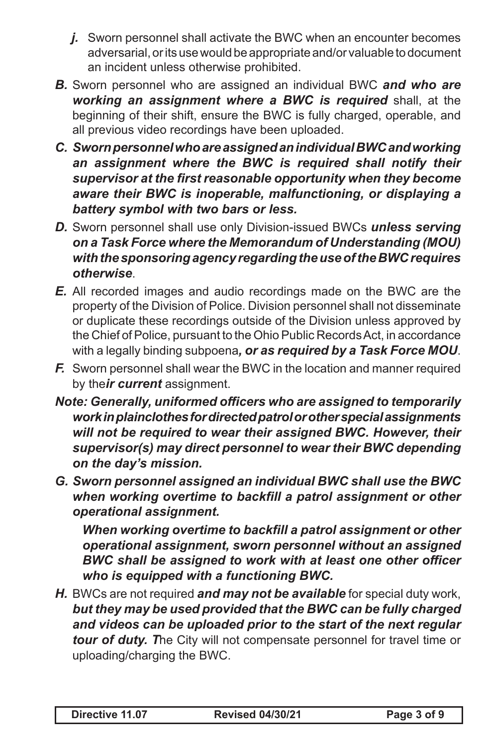- *j.* Sworn personnel shall activate the BWC when an encounter becomes adversarial, or its use would be appropriate and/or valuable to document an incident unless otherwise prohibited.
- *B.* Sworn personnel who are assigned an individual BWC *and who are working an assignment where a BWC is required* shall, at the beginning of their shift, ensure the BWC is fully charged, operable, and all previous video recordings have been uploaded.
- *C. Sworn personnel who are assigned an individual BWC and working an assignment where the BWC is required shall notify their supervisor at the first reasonable opportunity when they become aware their BWC is inoperable, malfunctioning, or displaying a battery symbol with two bars or less.*
- *D.* Sworn personnel shall use only Division-issued BWCs *unless serving on a Task Force where the Memorandum of Understanding (MOU) with the sponsoring agency regarding the use of the BWC requires otherwise*.
- *E.* All recorded images and audio recordings made on the BWC are the property of the Division of Police. Division personnel shall not disseminate or duplicate these recordings outside of the Division unless approved by the Chief of Police, pursuant to the Ohio Public Records Act, in accordance with a legally binding subpoena*, or as required by a Task Force MOU*.
- *F.* Sworn personnel shall wear the BWC in the location and manner required by the*ir current* assignment.
- *Note: Generally, uniformed officers who are assigned to temporarily work in plainclothes for directed patrol or other special assignments will not be required to wear their assigned BWC. However, their supervisor(s) may direct personnel to wear their BWC depending on the day's mission.*
- *G. Sworn personnel assigned an individual BWC shall use the BWC when working overtime to backfill a patrol assignment or other operational assignment.*

*When working overtime to backfill a patrol assignment or other operational assignment, sworn personnel without an assigned BWC shall be assigned to work with at least one other officer who is equipped with a functioning BWC.*

*H.* BWCs are not required *and may not be available* for special duty work, *but they may be used provided that the BWC can be fully charged and videos can be uploaded prior to the start of the next regular tour of duty. T*he City will not compensate personnel for travel time or uploading/charging the BWC.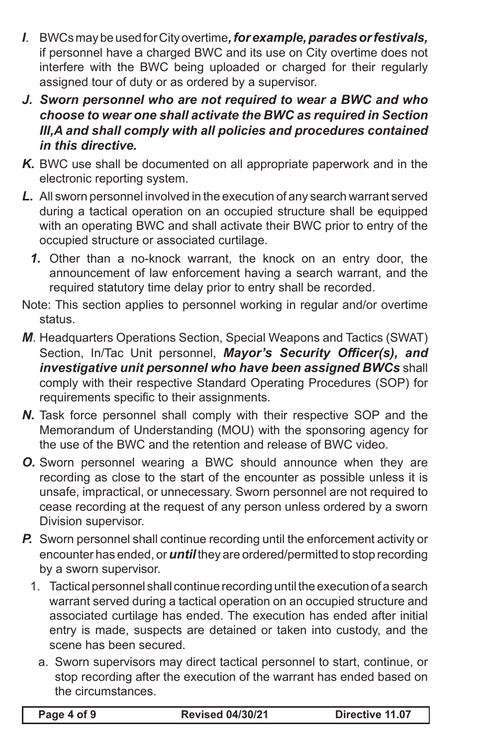- *I*. BWCs may be used for City overtime*, for example, parades or festivals,*  if personnel have a charged BWC and its use on City overtime does not interfere with the BWC being uploaded or charged for their regularly assigned tour of duty or as ordered by a supervisor.
- *J. Sworn personnel who are not required to wear a BWC and who choose to wear one shall activate the BWC as required in Section III,A and shall comply with all policies and procedures contained in this directive.*
- *K.* BWC use shall be documented on all appropriate paperwork and in the electronic reporting system.
- *L.* All sworn personnel involved in the execution of any search warrant served during a tactical operation on an occupied structure shall be equipped with an operating BWC and shall activate their BWC prior to entry of the occupied structure or associated curtilage.
	- *1.* Other than a no-knock warrant, the knock on an entry door, the announcement of law enforcement having a search warrant, and the required statutory time delay prior to entry shall be recorded.
- Note: This section applies to personnel working in regular and/or overtime status.
- *M*. Headquarters Operations Section, Special Weapons and Tactics (SWAT) Section, In/Tac Unit personnel, *Mayor's Security Officer(s), and investigative unit personnel who have been assigned BWCs* shall comply with their respective Standard Operating Procedures (SOP) for requirements specific to their assignments.
- *N.* Task force personnel shall comply with their respective SOP and the Memorandum of Understanding (MOU) with the sponsoring agency for the use of the BWC and the retention and release of BWC video.
- *O.* Sworn personnel wearing a BWC should announce when they are recording as close to the start of the encounter as possible unless it is unsafe, impractical, or unnecessary. Sworn personnel are not required to cease recording at the request of any person unless ordered by a sworn Division supervisor.
- *P.* Sworn personnel shall continue recording until the enforcement activity or encounter has ended, or *until* they are ordered/permitted to stop recording by a sworn supervisor.
	- 1. Tactical personnel shall continue recording until the execution of a search warrant served during a tactical operation on an occupied structure and associated curtilage has ended. The execution has ended after initial entry is made, suspects are detained or taken into custody, and the scene has been secured.
		- a. Sworn supervisors may direct tactical personnel to start, continue, or stop recording after the execution of the warrant has ended based on the circumstances.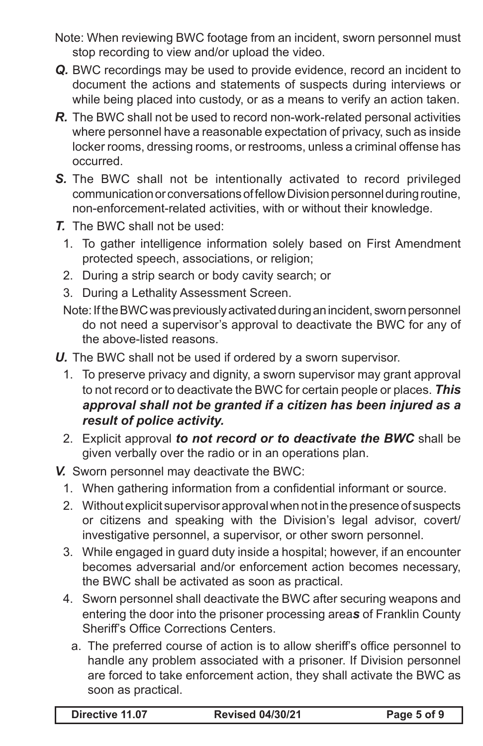- Note: When reviewing BWC footage from an incident, sworn personnel must stop recording to view and/or upload the video.
- *Q.* BWC recordings may be used to provide evidence, record an incident to document the actions and statements of suspects during interviews or while being placed into custody, or as a means to verify an action taken.
- *R.* The BWC shall not be used to record non-work-related personal activities where personnel have a reasonable expectation of privacy, such as inside locker rooms, dressing rooms, or restrooms, unless a criminal offense has occurred.
- *S.* The BWC shall not be intentionally activated to record privileged communication or conversations of fellow Division personnel during routine, non-enforcement-related activities, with or without their knowledge.
- *T.* The BWC shall not be used:
	- 1. To gather intelligence information solely based on First Amendment protected speech, associations, or religion;
	- 2. During a strip search or body cavity search; or
	- 3. During a Lethality Assessment Screen.
	- Note: If the BWC was previously activated during an incident, sworn personnel do not need a supervisor's approval to deactivate the BWC for any of the above-listed reasons.
- *U.* The BWC shall not be used if ordered by a sworn supervisor.
	- 1. To preserve privacy and dignity, a sworn supervisor may grant approval to not record or to deactivate the BWC for certain people or places. *This approval shall not be granted if a citizen has been injured as a result of police activity.*
	- 2. Explicit approval *to not record or to deactivate the BWC* shall be given verbally over the radio or in an operations plan.
- *V.* Sworn personnel may deactivate the BWC:
	- 1. When gathering information from a confidential informant or source.
	- 2. Without explicit supervisor approval when not in the presence of suspects or citizens and speaking with the Division's legal advisor, covert/ investigative personnel, a supervisor, or other sworn personnel.
	- 3. While engaged in guard duty inside a hospital; however, if an encounter becomes adversarial and/or enforcement action becomes necessary, the BWC shall be activated as soon as practical.
	- 4. Sworn personnel shall deactivate the BWC after securing weapons and entering the door into the prisoner processing area*s* of Franklin County Sheriff's Office Corrections Centers.
		- a. The preferred course of action is to allow sheriff's office personnel to handle any problem associated with a prisoner. If Division personnel are forced to take enforcement action, they shall activate the BWC as soon as practical.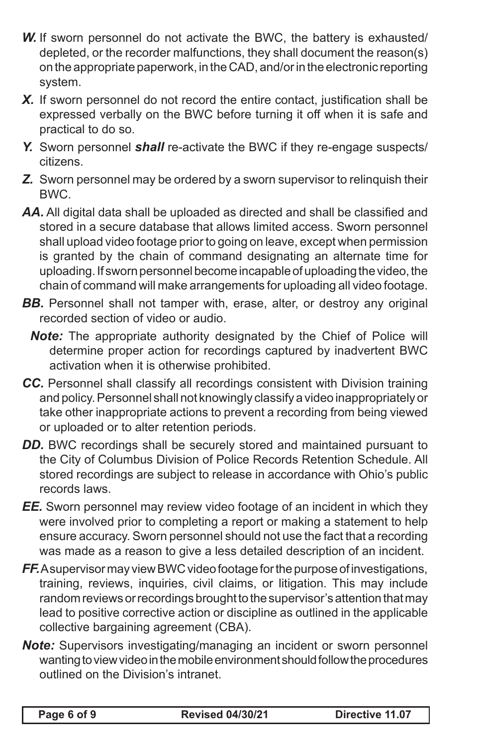- *W.* If sworn personnel do not activate the BWC, the battery is exhausted/ depleted, or the recorder malfunctions, they shall document the reason(s) on the appropriate paperwork, in the CAD, and/or in the electronic reporting system.
- *X.* If sworn personnel do not record the entire contact, justification shall be expressed verbally on the BWC before turning it off when it is safe and practical to do so.
- *Y.* Sworn personnel *shall* re-activate the BWC if they re-engage suspects/ citizens.
- *Z.* Sworn personnel may be ordered by a sworn supervisor to relinquish their BWC.
- *AA.* All digital data shall be uploaded as directed and shall be classified and stored in a secure database that allows limited access. Sworn personnel shall upload video footage prior to going on leave, except when permission is granted by the chain of command designating an alternate time for uploading. If sworn personnel become incapable of uploading the video, the chain of command will make arrangements for uploading all video footage.
- **BB.** Personnel shall not tamper with, erase, alter, or destroy any original recorded section of video or audio.
	- *Note:* The appropriate authority designated by the Chief of Police will determine proper action for recordings captured by inadvertent BWC activation when it is otherwise prohibited.
- *CC.* Personnel shall classify all recordings consistent with Division training and policy. Personnel shall not knowingly classify a video inappropriately or take other inappropriate actions to prevent a recording from being viewed or uploaded or to alter retention periods.
- **DD.** BWC recordings shall be securely stored and maintained pursuant to the City of Columbus Division of Police Records Retention Schedule. All stored recordings are subject to release in accordance with Ohio's public records laws.
- *EE.* Sworn personnel may review video footage of an incident in which they were involved prior to completing a report or making a statement to help ensure accuracy. Sworn personnel should not use the fact that a recording was made as a reason to give a less detailed description of an incident.
- *FF.* A supervisor may view BWC video footage for the purpose of investigations, training, reviews, inquiries, civil claims, or litigation. This may include random reviews or recordings brought to the supervisor's attention that may lead to positive corrective action or discipline as outlined in the applicable collective bargaining agreement (CBA).
- *Note:* Supervisors investigating/managing an incident or sworn personnel wanting to view video in the mobile environment should follow the procedures outlined on the Division's intranet.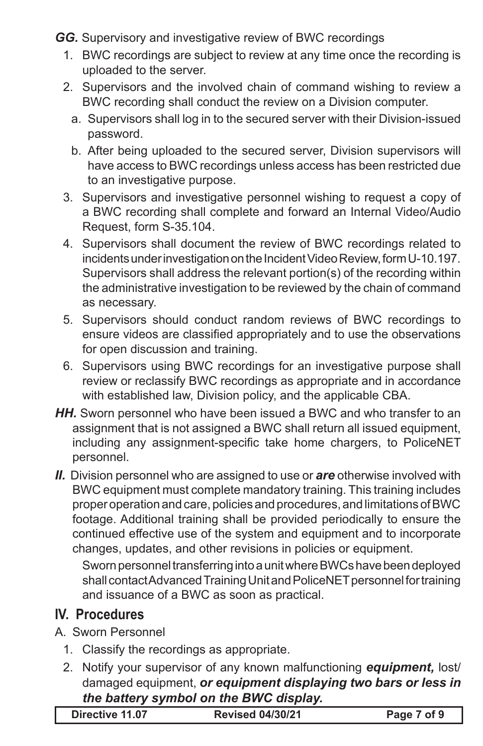*GG.* Supervisory and investigative review of BWC recordings

- 1. BWC recordings are subject to review at any time once the recording is uploaded to the server.
- 2. Supervisors and the involved chain of command wishing to review a BWC recording shall conduct the review on a Division computer.
	- a. Supervisors shall log in to the secured server with their Division-issued password.
	- b. After being uploaded to the secured server, Division supervisors will have access to BWC recordings unless access has been restricted due to an investigative purpose.
- 3. Supervisors and investigative personnel wishing to request a copy of a BWC recording shall complete and forward an Internal Video/Audio Request, form S-35.104.
- 4. Supervisors shall document the review of BWC recordings related to incidents under investigation on the Incident Video Review, form U-10.197. Supervisors shall address the relevant portion(s) of the recording within the administrative investigation to be reviewed by the chain of command as necessary.
- 5. Supervisors should conduct random reviews of BWC recordings to ensure videos are classified appropriately and to use the observations for open discussion and training.
- 6. Supervisors using BWC recordings for an investigative purpose shall review or reclassify BWC recordings as appropriate and in accordance with established law, Division policy, and the applicable CBA.
- *HH.* Sworn personnel who have been issued a BWC and who transfer to an assignment that is not assigned a BWC shall return all issued equipment, including any assignment-specific take home chargers, to PoliceNET personnel.
- *II.* Division personnel who are assigned to use or *are* otherwise involved with BWC equipment must complete mandatory training. This training includes proper operation and care, policies and procedures, and limitations of BWC footage. Additional training shall be provided periodically to ensure the continued effective use of the system and equipment and to incorporate changes, updates, and other revisions in policies or equipment.

Sworn personnel transferring into a unit where BWCs have been deployed shall contact Advanced Training Unit and PoliceNET personnel for training and issuance of a BWC as soon as practical.

## **IV. Procedures**

- A. Sworn Personnel
	- 1. Classify the recordings as appropriate.
	- 2. Notify your supervisor of any known malfunctioning *equipment,* lost/ damaged equipment, *or equipment displaying two bars or less in the battery symbol on the BWC display.*

| <b>Revised 04/30/21</b><br>Directive 11.07 | Page 7 of 9 |
|--------------------------------------------|-------------|
|--------------------------------------------|-------------|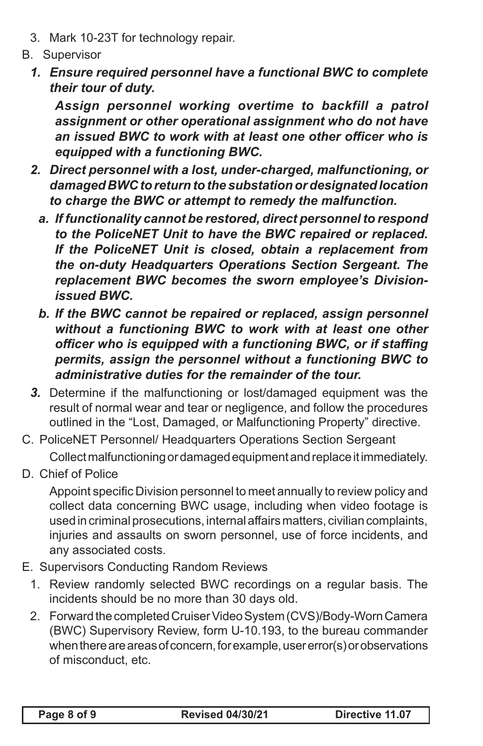- 3. Mark 10-23T for technology repair.
- B. Supervisor
	- *1. Ensure required personnel have a functional BWC to complete their tour of duty.*

*Assign personnel working overtime to backfill a patrol assignment or other operational assignment who do not have an issued BWC to work with at least one other officer who is equipped with a functioning BWC.*

- *2. Direct personnel with a lost, under-charged, malfunctioning, or damaged BWC to return to the substation or designated location to charge the BWC or attempt to remedy the malfunction.*
	- *a. If functionality cannot be restored, direct personnel to respond to the PoliceNET Unit to have the BWC repaired or replaced. If the PoliceNET Unit is closed, obtain a replacement from the on-duty Headquarters Operations Section Sergeant. The replacement BWC becomes the sworn employee's Divisionissued BWC.*
	- *b. If the BWC cannot be repaired or replaced, assign personnel without a functioning BWC to work with at least one other officer who is equipped with a functioning BWC, or if staffing permits, assign the personnel without a functioning BWC to administrative duties for the remainder of the tour.*
- *3.* Determine if the malfunctioning or lost/damaged equipment was the result of normal wear and tear or negligence, and follow the procedures outlined in the "Lost, Damaged, or Malfunctioning Property" directive.
- C. PoliceNET Personnel/ Headquarters Operations Section Sergeant Collect malfunctioning or damaged equipment and replace it immediately.
- D. Chief of Police

Appoint specific Division personnel to meet annually to review policy and collect data concerning BWC usage, including when video footage is used in criminal prosecutions, internal affairs matters, civilian complaints, injuries and assaults on sworn personnel, use of force incidents, and any associated costs.

- E. Supervisors Conducting Random Reviews
	- 1. Review randomly selected BWC recordings on a regular basis. The incidents should be no more than 30 days old.
	- 2. Forward the completed Cruiser Video System (CVS)/Body-Worn Camera (BWC) Supervisory Review, form U-10.193, to the bureau commander when there are areas of concern, for example, user error(s) or observations of misconduct, etc.